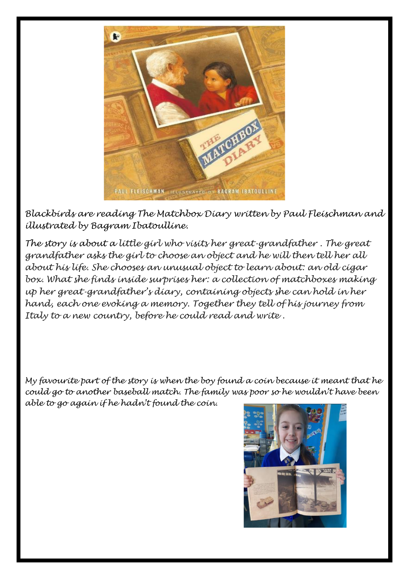

*Blackbirds are reading The Matchbox Diary written by Paul Fleischman and illustrated by Bagram Ibatoulline.*

*The story is about a little girl who visits her great-grandfather . The great grandfather asks the girl to choose an object and he will then tell her all about his life. She chooses an unusual object to learn about: an old cigar*  box. What she finds inside surprises her: a collection of matchboxes making *up her great-grandfather's diary, containing objects she can hold in her hand, each one evoking a memory. Together they tell of his journey from Italy to a new country, before he could read and write .*

*My favourite part of the story is when the boy found a coin because it meant that he could go to another baseball match. The family was poor so he wouldn't have been able to go again if he hadn't found the coin.*

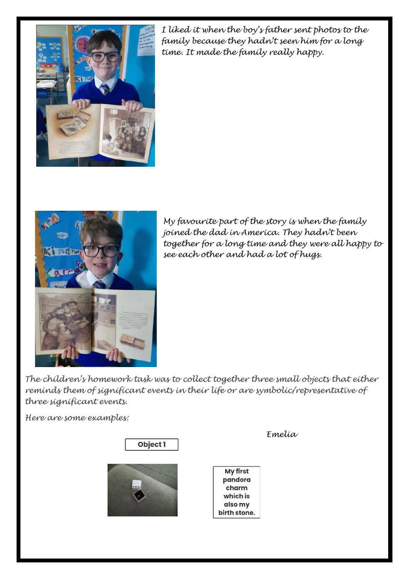

*I liked it when the boy's father sent photos to the family because they hadn't seen him for a long time. It made the family really happy.*



*My favourite part of the story is when the family joined the dad in America. They hadn't been together for a long time and they were all happy to see each other and had a lot of hugs.*

*The children's homework task was to collect together three small objects that either reminds them of significant events in their life or are symbolic/representative of three significant events.*

*Here are some examples:*